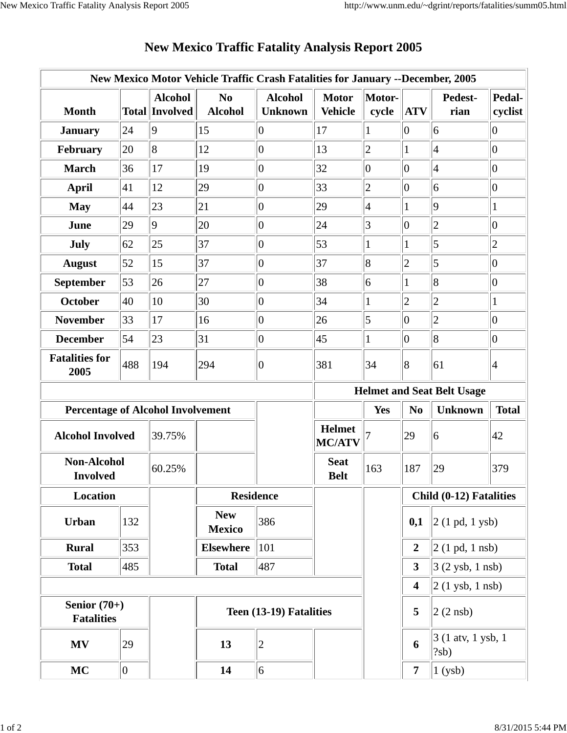|                                          |             |                                         | New Mexico Motor Vehicle Traffic Crash Fatalities for January --December, 2005 |                                  |                                |                 |                         |                                    |                          |  |
|------------------------------------------|-------------|-----------------------------------------|--------------------------------------------------------------------------------|----------------------------------|--------------------------------|-----------------|-------------------------|------------------------------------|--------------------------|--|
| <b>Month</b>                             |             | <b>Alcohol</b><br><b>Total Involved</b> | N <sub>0</sub><br><b>Alcohol</b>                                               | <b>Alcohol</b><br><b>Unknown</b> | <b>Motor</b><br><b>Vehicle</b> | Motor-<br>cycle | <b>ATV</b>              | Pedest-<br>rian                    | <b>Pedal-</b><br>cyclist |  |
| <b>January</b>                           | 24          | $\overline{9}$                          | 15                                                                             | $\overline{0}$                   | 17                             | 1               | $\overline{0}$          | 6                                  | $\overline{0}$           |  |
| February                                 | 20          | $\overline{8}$                          | 12                                                                             | $ 0\rangle$                      | 13                             | $\overline{2}$  | $\mathbf{1}$            | $\vert 4$                          | $ 0\rangle$              |  |
| <b>March</b>                             | 36          | 17                                      | 19                                                                             | $ 0\rangle$                      | 32                             | $ 0\rangle$     | $ 0\rangle$             | $\overline{4}$                     | $\overline{0}$           |  |
| <b>April</b>                             | 41          | 12                                      | 29                                                                             | $ 0\rangle$                      | 33                             | $\overline{2}$  | $ 0\rangle$             | $\overline{6}$                     | $\overline{0}$           |  |
| <b>May</b>                               | 44          | 23                                      | 21                                                                             | $ 0\rangle$                      | 29                             | $\vert 4 \vert$ | $\mathbf{1}$            | $ 9\rangle$                        | $\mathbf{1}$             |  |
| June                                     | 29          | $\overline{9}$                          | 20                                                                             | 0                                | 24                             | 3               | $\overline{0}$          | $\overline{2}$                     | $\vert 0 \vert$          |  |
| July                                     | 62          | 25                                      | 37                                                                             | $ 0\rangle$                      | 53                             | $\mathbf{1}$    | 1                       | $\overline{5}$                     | $ 2\rangle$              |  |
| <b>August</b>                            | 52          | 15                                      | 37                                                                             | $ 0\rangle$                      | 37                             | 8               | $\overline{2}$          | 5                                  | $\overline{0}$           |  |
| September                                | 53          | 26                                      | 27                                                                             | $ 0\rangle$                      | 38                             | 6               | $\mathbf{1}$            | $\overline{8}$                     | $ 0\rangle$              |  |
| <b>October</b>                           | 40          | 10                                      | 30                                                                             | $ 0\rangle$                      | 34                             | $\mathbf{1}$    | $\overline{2}$          | $\overline{c}$                     | 1                        |  |
| <b>November</b>                          | 33          | 17                                      | 16                                                                             | 0                                | 26                             | 5               | $ 0\rangle$             | $\overline{2}$                     | $\overline{0}$           |  |
| <b>December</b>                          | 54          | 23                                      | 31                                                                             | $ 0\rangle$                      | 45                             | $\mathbf{1}$    | $ 0\rangle$             | 8                                  | $ 0\rangle$              |  |
| <b>Fatalities for</b><br>2005            | 488         | 194                                     | 294                                                                            | $ 0\>$                           | 381                            | 34              | 8                       | 61                                 | $\vert 4$                |  |
|                                          |             |                                         |                                                                                |                                  |                                |                 |                         | <b>Helmet and Seat Belt Usage</b>  |                          |  |
| <b>Percentage of Alcohol Involvement</b> |             |                                         |                                                                                |                                  |                                | Yes             | N <sub>0</sub>          | <b>Unknown</b>                     | <b>Total</b>             |  |
| <b>Alcohol Involved</b>                  |             | 39.75%                                  |                                                                                |                                  | <b>Helmet</b><br><b>MC/ATV</b> |                 | 29                      | 6                                  | 42                       |  |
| <b>Non-Alcohol</b><br><b>Involved</b>    |             | 60.25%                                  |                                                                                |                                  | <b>Seat</b><br><b>Belt</b>     | 163             | 187                     | 29                                 | 379                      |  |
| Location                                 |             |                                         | <b>Residence</b>                                                               |                                  |                                |                 | Child (0-12) Fatalities |                                    |                          |  |
| <b>Urban</b>                             | 132         |                                         | <b>New</b><br><b>Mexico</b>                                                    | 386                              |                                |                 | 0,1                     | $ 2(1 \text{ pd}, 1 \text{ ysb}) $ |                          |  |
| <b>Rural</b>                             | 353         |                                         | <b>Elsewhere</b>                                                               | 101                              |                                |                 | $\overline{2}$          | $ 2(1 \text{ pd}, 1 \text{ nsb}) $ |                          |  |
| <b>Total</b>                             | 485         |                                         | <b>Total</b>                                                                   | 487                              |                                |                 | $\mathbf{3}$            | $3(2 \text{ ysb}, 1 \text{ nsb})$  |                          |  |
|                                          |             |                                         |                                                                                |                                  |                                |                 | $\overline{\mathbf{4}}$ | $2(1$ ysb, 1 nsb)                  |                          |  |
| Senior $(70+)$<br><b>Fatalities</b>      |             |                                         | Teen (13-19) Fatalities                                                        |                                  |                                |                 | 5                       | $ 2(2 \text{ nsb}) $               |                          |  |
| <b>MV</b>                                | 29          |                                         | 13                                                                             | $\overline{2}$                   |                                |                 | 6                       | $3(1$ atv, 1 ysb, 1<br>?sb)        |                          |  |
| MC                                       | $ 0\rangle$ |                                         | 14                                                                             | $ 6\rangle$                      |                                |                 | 7 <sup>1</sup>          | $1$ (ysb)                          |                          |  |

## **New Mexico Traffic Fatality Analysis Report 2005**